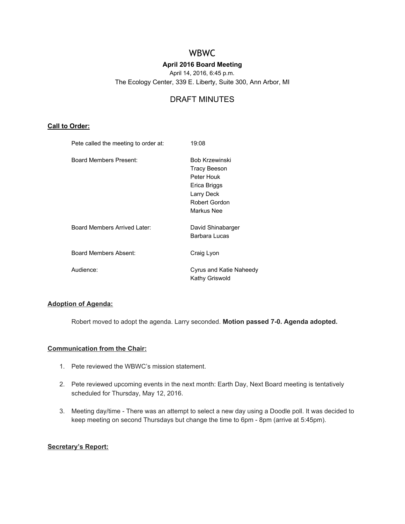# WBWC

## **April 2016 Board Meeting**

April 14, 2016, 6:45 p.m.

The Ecology Center, 339 E. Liberty, Suite 300, Ann Arbor, MI

## DRAFT MINUTES

## **Call to Order:**

| Pete called the meeting to order at: | 19:08                                                                                                                   |
|--------------------------------------|-------------------------------------------------------------------------------------------------------------------------|
| Board Members Present:               | <b>Bob Krzewinski</b><br><b>Tracy Beeson</b><br>Peter Houk<br>Erica Briggs<br>Larry Deck<br>Robert Gordon<br>Markus Nee |
| Board Members Arrived Later:         | David Shinabarger<br>Barbara Lucas                                                                                      |
| Board Members Absent:                | Craig Lyon                                                                                                              |
| Audience:                            | Cyrus and Katie Naheedy<br>Kathy Griswold                                                                               |

## **Adoption of Agenda:**

Robert moved to adopt the agenda. Larry seconded. **Motion passed 70. Agenda adopted.**

#### **Communication from the Chair:**

- 1. Pete reviewed the WBWC's mission statement.
- 2. Pete reviewed upcoming events in the next month: Earth Day, Next Board meeting is tentatively scheduled for Thursday, May 12, 2016.
- 3. Meeting day/time There was an attempt to select a new day using a Doodle poll. It was decided to keep meeting on second Thursdays but change the time to 6pm - 8pm (arrive at 5:45pm).

## **Secretary's Report:**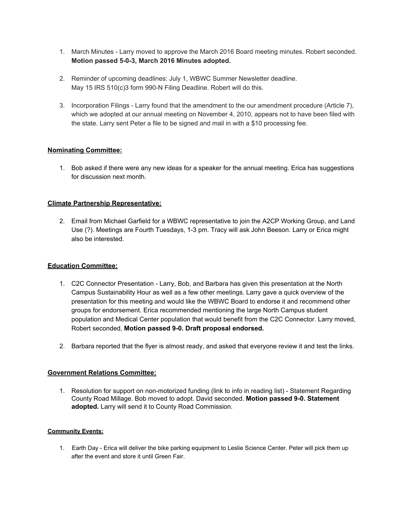- 1. March Minutes Larry moved to approve the March 2016 Board meeting minutes. Robert seconded. **Motion passed 503, March 2016 Minutes adopted.**
- 2. Reminder of upcoming deadlines: July 1, WBWC Summer Newsletter deadline. May 15 IRS 510(c)3 form 990-N Filing Deadline. Robert will do this.
- 3. Incorporation Filings Larry found that the amendment to the our amendment procedure (Article 7), which we adopted at our annual meeting on November 4, 2010, appears not to have been filed with the state. Larry sent Peter a file to be signed and mail in with a \$10 processing fee.

## **Nominating Committee:**

1. Bob asked if there were any new ideas for a speaker for the annual meeting. Erica has suggestions for discussion next month.

#### **Climate Partnership Representative:**

2. Email from Michael Garfield for a WBWC representative to join the A2CP Working Group, and Land Use (?). Meetings are Fourth Tuesdays, 13 pm. Tracy will ask John Beeson. Larry or Erica might also be interested.

#### **Education Committee:**

- 1. C2C Connector Presentation Larry, Bob, and Barbara has given this presentation at the North Campus Sustainability Hour as well as a few other meetings. Larry gave a quick overview of the presentation for this meeting and would like the WBWC Board to endorse it and recommend other groups for endorsement. Erica recommended mentioning the large North Campus student population and Medical Center population that would benefit from the C2C Connector. Larry moved, Robert seconded, **Motion passed 90. Draft proposal endorsed.**
- 2. Barbara reported that the flyer is almost ready, and asked that everyone review it and test the links.

## **Government Relations Committee:**

1. Resolution for support on non-motorized funding (link to info in reading list) - Statement Regarding County Road Millage. Bob moved to adopt. David seconded. **Motion passed 90. Statement adopted.** Larry will send it to County Road Commission.

#### **Community Events:**

1. Earth Day - Erica will deliver the bike parking equipment to Leslie Science Center. Peter will pick them up after the event and store it until Green Fair.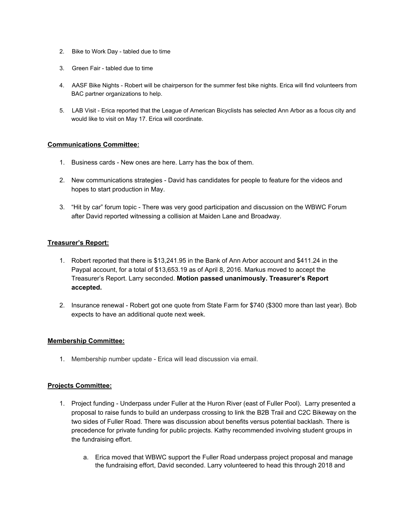- 2. Bike to Work Day tabled due to time
- 3. Green Fair tabled due to time
- 4. AASF Bike Nights Robert will be chairperson for the summer fest bike nights. Erica will find volunteers from BAC partner organizations to help.
- 5. LAB Visit Erica reported that the League of American Bicyclists has selected Ann Arbor as a focus city and would like to visit on May 17. Erica will coordinate.

#### **Communications Committee:**

- 1. Business cards New ones are here. Larry has the box of them.
- 2. New communications strategies David has candidates for people to feature for the videos and hopes to start production in May.
- 3. "Hit by car" forum topic There was very good participation and discussion on the WBWC Forum after David reported witnessing a collision at Maiden Lane and Broadway.

#### **Treasurer's Report:**

- 1. Robert reported that there is \$13,241.95 in the Bank of Ann Arbor account and \$411.24 in the Paypal account, for a total of \$13,653.19 as of April 8, 2016. Markus moved to accept the Treasurer's Report. Larry seconded. **Motion passed unanimously. Treasurer's Report accepted.**
- 2. Insurance renewal Robert got one quote from State Farm for \$740 (\$300 more than last year). Bob expects to have an additional quote next week.

#### **Membership Committee:**

1. Membership number update Erica will lead discussion via email.

#### **Projects Committee:**

- 1. Project funding Underpass under Fuller at the Huron River (east of Fuller Pool). Larry presented a proposal to raise funds to build an underpass crossing to link the B2B Trail and C2C Bikeway on the two sides of Fuller Road. There was discussion about benefits versus potential backlash. There is precedence for private funding for public projects. Kathy recommended involving student groups in the fundraising effort.
	- a. Erica moved that WBWC support the Fuller Road underpass project proposal and manage the fundraising effort, David seconded. Larry volunteered to head this through 2018 and